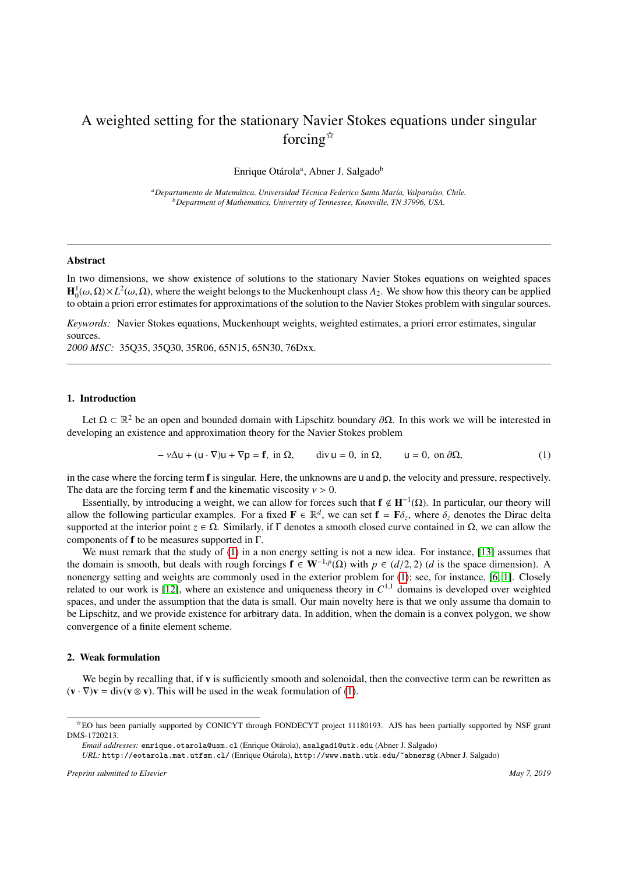# A weighted setting for the stationary Navier Stokes equations under singular forcing $\overrightarrow{x}$

Enrique Otárola<sup>a</sup>, Abner J. Salgado<sup>b</sup>

*<sup>a</sup>Departamento de Matem´atica, Universidad T´ecnica Federico Santa Mar´ıa, Valpara´ıso, Chile. <sup>b</sup>Department of Mathematics, University of Tennessee, Knoxville, TN 37996, USA.*

## Abstract

In two dimensions, we show existence of solutions to the stationary Navier Stokes equations on weighted spaces  $\mathbf{H}_0^1(\omega,\Omega)\times L^2(\omega,\Omega)$ , where the weight belongs to the Muckenhoupt class *A*<sub>2</sub>. We show how this theory can be applied to obtain a priori error estimates for approximations of the solution to the Navier Stokes proble to obtain a priori error estimates for approximations of the solution to the Navier Stokes problem with singular sources.

*Keywords:* Navier Stokes equations, Muckenhoupt weights, weighted estimates, a priori error estimates, singular sources.

*2000 MSC:* 35Q35, 35Q30, 35R06, 65N15, 65N30, 76Dxx.

### 1. Introduction

Let  $\Omega \subset \mathbb{R}^2$  be an open and bounded domain with Lipschitz boundary  $\partial \Omega$ . In this work we will be interested in eloning an existence and approximation theory for the Navier Stokes problem developing an existence and approximation theory for the Navier Stokes problem

<span id="page-0-0"></span>
$$
-\nu\Delta u + (u \cdot \nabla)u + \nabla p = \mathbf{f}, \text{ in } \Omega, \qquad \text{div}\,u = 0, \text{ in } \Omega, \qquad u = 0, \text{ on } \partial\Omega,\tag{1}
$$

in the case where the forcing term **f** is singular. Here, the unknowns are u and p, the velocity and pressure, respectively. The data are the forcing term **f** and the kinematic viscosity  $v > 0$ .

Essentially, by introducing a weight, we can allow for forces such that  $f \notin H^{-1}(\Omega)$ . In particular, our theory will allow the following particular examples. For a fixed  $\mathbf{F} \in \mathbb{R}^d$ , we can set  $\mathbf{f} = \mathbf{F}\delta_z$ , where  $\delta_z$  denotes the Dirac delta<br>supported at the interior point  $z \in \Omega$ . Similarly, if E denotes a smooth closed c supported at the interior point  $z \in \Omega$ . Similarly, if Γ denotes a smooth closed curve contained in  $\Omega$ , we can allow the components of f to be measures supported in Γ.

We must remark that the study of [\(1\)](#page-0-0) in a non energy setting is not a new idea. For instance, [\[13\]](#page-5-0) assumes that the domain is smooth, but deals with rough forcings  $\mathbf{f} \in \mathbf{W}^{-1,p}(\Omega)$  with  $p \in (d/2, 2)$  (*d* is the space dimension). A noneneray setting and weights are commonly used in the exterior problem for (1); see for insta nonenergy setting and weights are commonly used in the exterior problem for [\(1\)](#page-0-0); see, for instance, [\[6,](#page-5-1) [1\]](#page-5-2). Closely related to our work is  $[12]$ , where an existence and uniqueness theory in  $C^{1,1}$  domains is developed over weighted spaces, and under the assumption that the data is small. Our main novelty here is that we only assume tha domain to be Lipschitz, and we provide existence for arbitrary data. In addition, when the domain is a convex polygon, we show convergence of a finite element scheme.

#### 2. Weak formulation

We begin by recalling that, if v is sufficiently smooth and solenoidal, then the convective term can be rewritten as  $(\mathbf{v} \cdot \nabla)\mathbf{v} = \text{div}(\mathbf{v} \otimes \mathbf{v})$ . This will be used in the weak formulation of [\(1\)](#page-0-0).

*Preprint submitted to Elsevier May 7, 2019*

<sup>✩</sup>EO has been partially supported by CONICYT through FONDECYT project 11180193. AJS has been partially supported by NSF grant DMS-1720213.

*Email addresses:* enrique.otarola@usm.cl (Enrique Otárola), asalgad1@utk.edu (Abner J. Salgado)

URL: http://eotarola.mat.utfsm.cl/ (Enrique Otárola), http://www.math.utk.edu/~abnersg (Abner J. Salgado)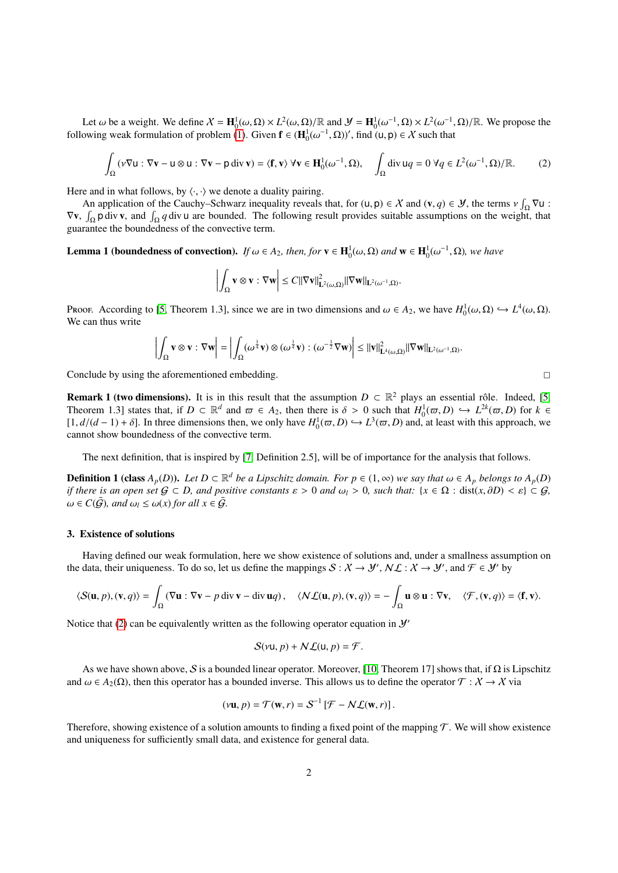Let  $\omega$  be a weight. We define  $X = \mathbf{H}_0^1(\omega, \Omega) \times L^2(\omega, \Omega)/\mathbb{R}$  and  $\mathcal{Y} = \mathbf{H}_0^1(\omega^{-1}, \Omega) \times L^2(\omega^{-1}, \Omega)/\mathbb{R}$ . We propose the overall formulation of problem (1). Given  $\mathbf{f} \in (\mathbf{H}^1(\omega^{-1}, \Omega))'$  find (11,  $\mathbf{p$ following weak formulation of problem [\(1\)](#page-0-0). Given  $f \in (H_0^1(\omega^{-1}, \Omega))'$ , find  $(u, p) \in X$  such that

<span id="page-1-0"></span>
$$
\int_{\Omega} (v \nabla u : \nabla v - u \otimes u : \nabla v - p \operatorname{div} v) = \langle \mathbf{f}, v \rangle \ \forall v \in \mathbf{H}_{0}^{1}(\omega^{-1}, \Omega), \quad \int_{\Omega} \operatorname{div} uq = 0 \ \forall q \in L^{2}(\omega^{-1}, \Omega) / \mathbb{R}. \tag{2}
$$

Here and in what follows, by  $\langle \cdot, \cdot \rangle$  we denote a duality pairing.

An application of the Cauchy–Schwarz inequality reveals that, for  $(u, p) \in X$  and  $(v, q) \in Y$ , the terms  $v \int_{\Omega} \nabla u$ :<br>  $\int_{\Omega}$  adivising the following result provides suitable assumptions on the weight, that  $\nabla$ **v**,  $\int_{\Omega}$ **p** div **v**, and  $\int_{\Omega}$ *q* div **u** are bounded. The following result provides suitable assumptions on the weight, that guarantee the boundedness of the convective term.

<span id="page-1-1"></span>**Lemma 1 (boundedness of convection).** *If*  $\omega \in A_2$ *, then, for*  $\mathbf{v} \in \mathbf{H}_0^1(\omega, \Omega)$  *and*  $\mathbf{w} \in \mathbf{H}_0^1(\omega^{-1}, \Omega)$ *, we have* 

$$
\left|\int_{\Omega} \mathbf{v} \otimes \mathbf{v} : \nabla \mathbf{w}\right| \leq C ||\nabla \mathbf{v}||_{\mathbf{L}^{2}(\omega,\Omega)}^{2} ||\nabla \mathbf{w}||_{\mathbf{L}^{2}(\omega^{-1},\Omega)}.
$$

Proof. According to [\[5,](#page-5-4) Theorem 1.3], since we are in two dimensions and  $\omega \in A_2$ , we have  $H_0^1(\omega, \Omega) \hookrightarrow L^4(\omega, \Omega)$ .<br>We can thus write We can thus write

$$
\left|\int_{\Omega} \mathbf{v} \otimes \mathbf{v} : \nabla \mathbf{w} \right| = \left|\int_{\Omega} (\omega^{\frac{1}{4}} \mathbf{v}) \otimes (\omega^{\frac{1}{4}} \mathbf{v}) : (\omega^{-\frac{1}{2}} \nabla \mathbf{w}) \right| \le ||\mathbf{v}||^2_{\mathbf{L}^4(\omega,\Omega)} ||\nabla \mathbf{w}||_{\mathbf{L}^2(\omega^{-1},\Omega)}.
$$

Conclude by using the aforementioned embedding.  $\Box$ 

**Remark 1 (two dimensions).** It is in this result that the assumption  $D \subset \mathbb{R}^2$  plays an essential rôle. Indeed, [\[5,](#page-5-4) Theorem 1.3] states that, if  $D \subset \mathbb{R}^d$  and  $\varpi \in A_2$ , then there is  $\delta > 0$  such that  $H_0^1(\varpi, D) \hookrightarrow L^{2k}(\varpi, D)$  for  $k \in$ <br>  $\Box d/(d-1) + \delta$ . In three dimensions then we only have  $H^1(\varpi, D) \hookrightarrow L^{3}(\varpi, D)$  and at least  $[1, d/(d-1) + δ]$ . In three dimensions then, we only have  $H_0^1(\varpi, D)$  →  $L^3(\varpi, D)$  and, at least with this approach, we cannot show boundedness of the convective term cannot show boundedness of the convective term.

The next definition, that is inspired by [\[7,](#page-5-5) Definition 2.5], will be of importance for the analysis that follows.

**Definition 1 (class**  $A_p(D)$ ). Let  $D \subset \mathbb{R}^d$  be a Lipschitz domain. For  $p \in (1, \infty)$  we say that  $\omega \in A_p$  belongs to  $A_p(D)$ <br>if there is an open set  $G \subset D$  and positive constants  $s > 0$  and  $\omega > 0$  such that:  $\{x \in \Omega :$ *if there is an open set*  $G \subset D$ *, and positive constants*  $\varepsilon > 0$  *and*  $\omega_l > 0$ *, such that:*  $\{x \in \Omega : dist(x, \partial D) < \varepsilon \} \subset G$ *,*  $\omega \in C(\bar{G})$ *, and*  $\omega_l \leq \omega(x)$  for all  $x \in \bar{G}$ *.* 

#### 3. Existence of solutions

Having defined our weak formulation, here we show existence of solutions and, under a smallness assumption on the data, their uniqueness. To do so, let us define the mappings  $S: X \to Y'$ ,  $N\mathcal{L}: X \to Y'$ , and  $\mathcal{F} \in Y'$  by

$$
\langle \mathcal{S}(\mathbf{u}, p), (\mathbf{v}, q) \rangle = \int_{\Omega} (\nabla \mathbf{u} : \nabla \mathbf{v} - p \operatorname{div} \mathbf{v} - \operatorname{div} \mathbf{u} q), \quad \langle \mathcal{N} \mathcal{L}(\mathbf{u}, p), (\mathbf{v}, q) \rangle = - \int_{\Omega} \mathbf{u} \otimes \mathbf{u} : \nabla \mathbf{v}, \quad \langle \mathcal{F}, (\mathbf{v}, q) \rangle = \langle \mathbf{f}, \mathbf{v} \rangle.
$$

Notice that [\(2\)](#page-1-0) can be equivalently written as the following operator equation in  $\mathcal{Y}'$ 

$$
\mathcal{S}(\nu\mathsf{u},p)+\mathcal{N}\mathcal{L}(\mathsf{u},p)=\mathcal{F}.
$$

As we have shown above, S is a bounded linear operator. Moreover, [\[10,](#page-5-6) Theorem 17] shows that, if  $\Omega$  is Lipschitz and  $\omega \in A_2(\Omega)$ , then this operator has a bounded inverse. This allows us to define the operator  $\mathcal{T}: \mathcal{X} \to \mathcal{X}$  via

$$
(\nu \mathbf{u}, p) = \mathcal{T}(\mathbf{w}, r) = \mathcal{S}^{-1} [\mathcal{F} - N \mathcal{L}(\mathbf{w}, r)].
$$

Therefore, showing existence of a solution amounts to finding a fixed point of the mapping  $\mathcal T$ . We will show existence and uniqueness for sufficiently small data, and existence for general data.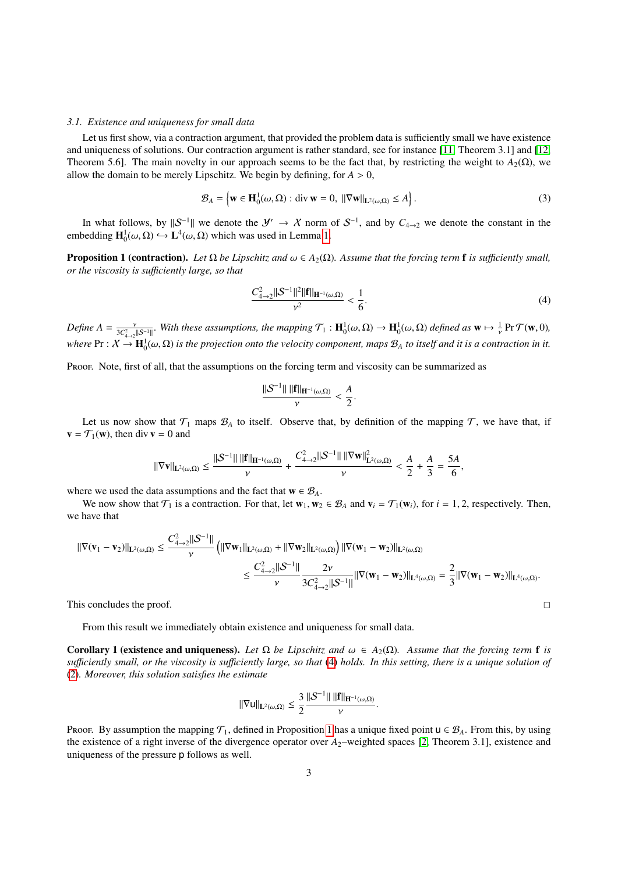#### *3.1. Existence and uniqueness for small data*

Let us first show, via a contraction argument, that provided the problem data is sufficiently small we have existence and uniqueness of solutions. Our contraction argument is rather standard, see for instance [\[11,](#page-5-7) Theorem 3.1] and [\[12,](#page-5-3) Theorem 5.6]. The main novelty in our approach seems to be the fact that, by restricting the weight to  $A_2(\Omega)$ , we allow the domain to be merely Lipschitz. We begin by defining, for  $A > 0$ ,

$$
\mathcal{B}_A = \left\{ \mathbf{w} \in \mathbf{H}_0^1(\omega, \Omega) : \text{div } \mathbf{w} = 0, \ ||\nabla \mathbf{w}||_{\mathbf{L}^2(\omega, \Omega)} \le A \right\}.
$$
 (3)

In what follows, by  $||S^{-1}||$  we denote the  $\mathcal{Y}' \to \mathcal{X}$  norm of  $S^{-1}$ , and by  $C_{4\to 2}$  we denote the constant in the embedding  $\mathbf{H}_0^1(\omega,\Omega) \hookrightarrow \mathbf{L}^4(\omega,\Omega)$  which was used in Lemma [1.](#page-1-1)

<span id="page-2-1"></span>**Proposition 1 (contraction).** Let Ω be Lipschitz and  $ω ∈ A_2(Ω)$ . Assume that the forcing term **f** is sufficiently small, *or the viscosity is su*ffi*ciently large, so that*

<span id="page-2-0"></span>
$$
\frac{C_{4\to 2}^2 \|S^{-1}\|^2 \|f\|_{H^{-1}(\omega,\Omega)}}{\nu^2} < \frac{1}{6}.\tag{4}
$$

 $\text{Define } A = \frac{v}{3C_{4\rightarrow 2}^2||S^{-1}||}$ . With these assumptions, the mapping  $\mathcal{T}_1 : \mathbf{H}_0^1(\omega, \Omega) \to \mathbf{H}_0^1(\omega, \Omega)$  defined as  $\mathbf{w} \mapsto \frac{1}{v} \Pr \mathcal{T}(\mathbf{w}, 0)$ ,  $\mathbf{w}$   $\mathbf{P}$   $\mathbf{P}$   $\colon X \to \mathbf{H}_0^1(\omega,\Omega)$  *is the projection onto the velocity component, maps*  $\mathcal{B}_A$  *to itself and it is a contraction in it.* 

Proof. Note, first of all, that the assumptions on the forcing term and viscosity can be summarized as

$$
\frac{\|S^{-1}\| \, \|f\|_{H^{-1}(\omega,\Omega)}}{\nu} < \frac{A}{2}
$$

Let us now show that  $\mathcal{T}_1$  maps  $\mathcal{B}_A$  to itself. Observe that, by definition of the mapping  $\mathcal{T}$ , we have that, if  $\mathbf{v} = \mathcal{T}_1(\mathbf{w})$ , then div  $\mathbf{v} = 0$  and

$$
\|\nabla \mathbf{v}\|_{\mathbf{L}^{2}(\omega,\Omega)} \leq \frac{\|\mathcal{S}^{-1}\| \|\mathbf{f}\|_{\mathbf{H}^{-1}(\omega,\Omega)}}{\nu} + \frac{C_{4\to 2}^{2} \|\mathcal{S}^{-1}\| \|\nabla \mathbf{w}\|_{\mathbf{L}^{2}(\omega,\Omega)}^{2}}{\nu} < \frac{A}{2} + \frac{A}{3} = \frac{5A}{6},
$$

where we used the data assumptions and the fact that  $\mathbf{w} \in \mathcal{B}_A$ .

We now show that  $\mathcal{T}_1$  is a contraction. For that, let  $\mathbf{w}_1, \mathbf{w}_2 \in \mathcal{B}_A$  and  $\mathbf{v}_i = \mathcal{T}_1(\mathbf{w}_i)$ , for  $i = 1, 2$ , respectively. Then, we have that

$$
\begin{aligned} \|\nabla(\mathbf{v}_1-\mathbf{v}_2)\|_{\mathbf{L}^2(\omega,\Omega)} &\leq \frac{C_{4\to 2}^2\|\mathcal{S}^{-1}\|}{\nu}\left(\|\nabla\mathbf{w}_1\|_{\mathbf{L}^2(\omega,\Omega)}+\|\nabla\mathbf{w}_2\|_{\mathbf{L}^2(\omega,\Omega)}\right)\|\nabla(\mathbf{w}_1-\mathbf{w}_2)\|_{\mathbf{L}^2(\omega,\Omega)}\\ &\leq \frac{C_{4\to 2}^2\|\mathcal{S}^{-1}\|}{\nu}\frac{2\nu}{3C_{4\to 2}^2\|\mathcal{S}^{-1}\|}\|\nabla(\mathbf{w}_1-\mathbf{w}_2)\|_{\mathbf{L}^4(\omega,\Omega)}=\frac{2}{3}\|\nabla(\mathbf{w}_1-\mathbf{w}_2)\|_{\mathbf{L}^4(\omega,\Omega)}. \end{aligned}
$$

This concludes the proof.  $\Box$ 

From this result we immediately obtain existence and uniqueness for small data.

<span id="page-2-2"></span>Corollary 1 (existence and uniqueness). Let  $\Omega$  be Lipschitz and  $\omega \in A_2(\Omega)$ . Assume that the forcing term f is *su*ffi*ciently small, or the viscosity is su*ffi*ciently large, so that* [\(4\)](#page-2-0) *holds. In this setting, there is a unique solution of* [\(2\)](#page-1-0)*. Moreover, this solution satisfies the estimate*

$$
\|\nabla u\|_{\mathbf{L}^2(\omega,\Omega)} \leq \frac{3}{2} \frac{\|\mathcal{S}^{-1}\| \, \|\mathbf{f}\|_{\mathbf{H}^{-1}(\omega,\Omega)}}{\nu}.
$$

Proof. By assumption the mapping  $\mathcal{T}_1$ , defined in Proposition [1](#page-2-1) has a unique fixed point  $u \in \mathcal{B}_A$ . From this, by using the existence of a right inverse of the divergence operator over  $A_2$ -weighted spaces [\[2,](#page-5-8) Theorem 3.1], existence and uniqueness of the pressure p follows as well.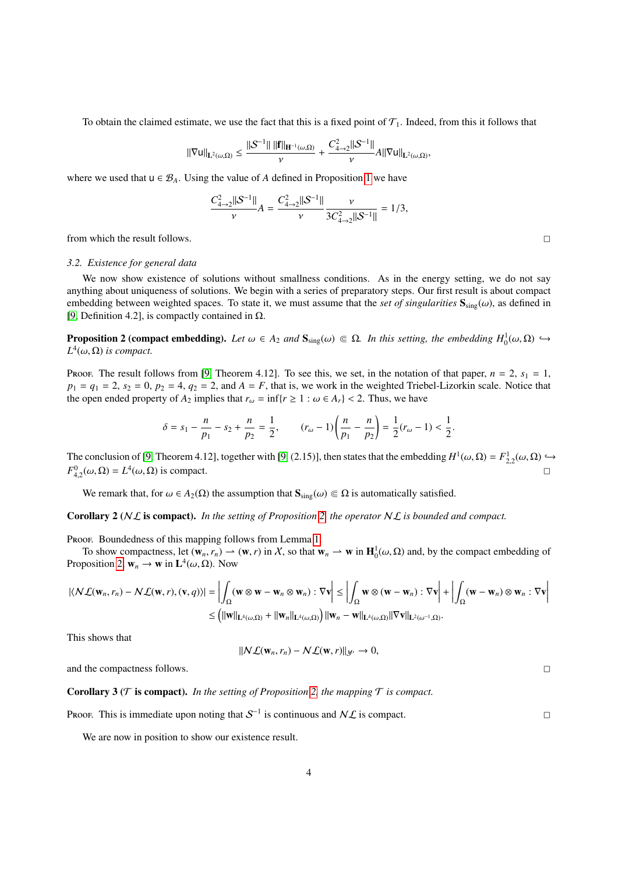To obtain the claimed estimate, we use the fact that this is a fixed point of  $\mathcal{T}_1$ . Indeed, from this it follows that

$$
\|\nabla u\|_{L^2(\omega,\Omega)} \leq \frac{\|{\mathcal S}^{-1}\|~\|{\mathbf f}\|_{\mathbf H^{-1}(\omega,\Omega)}}{\nu} + \frac{C_{4\to 2}^2\|{\mathcal S}^{-1}\|}{\nu} A\|\nabla u\|_{L^2(\omega,\Omega)}.
$$

where we used that  $u \in \mathcal{B}_A$ . Using the value of *A* defined in Proposition [1](#page-2-1) we have

$$
\frac{C_{4\to 2}^2 ||S^{-1}||}{\nu} A = \frac{C_{4\to 2}^2 ||S^{-1}||}{\nu} \frac{\nu}{3C_{4\to 2}^2 ||S^{-1}||} = 1/3,
$$

from which the result follows.  $\Box$ 

#### *3.2. Existence for general data*

We now show existence of solutions without smallness conditions. As in the energy setting, we do not say anything about uniqueness of solutions. We begin with a series of preparatory steps. Our first result is about compact embedding between weighted spaces. To state it, we must assume that the *set of singularities*  $S_{\text{sine}}(\omega)$ , as defined in [\[9,](#page-5-9) Definition 4.2], is compactly contained in  $\Omega$ .

<span id="page-3-0"></span>**Proposition 2 (compact embedding).** *Let*  $ω ∈ A_2$  *and*  $\mathbf{S}_{sing}(ω) ⊆ Ω$ *. In this setting, the embedding*  $H_0^1(ω, Ω)$  →  $H^4(ω, Ω)$  is compact.  $L^4(\omega,\Omega)$  *is compact.* 

Proof. The result follows from [\[9,](#page-5-9) Theorem 4.12]. To see this, we set, in the notation of that paper,  $n = 2$ ,  $s_1 = 1$ ,  $p_1 = q_1 = 2$ ,  $s_2 = 0$ ,  $p_2 = 4$ ,  $q_2 = 2$ , and  $A = F$ , that is, we work in the weighted Triebel-Lizorkin scale. Notice that the open ended property of  $A_2$  implies that  $r_\omega = \inf\{r \ge 1 : \omega \in A_r\} < 2$ . Thus, we have

$$
\delta = s_1 - \frac{n}{p_1} - s_2 + \frac{n}{p_2} = \frac{1}{2}, \qquad (r_\omega - 1) \left( \frac{n}{p_1} - \frac{n}{p_2} \right) = \frac{1}{2} (r_\omega - 1) < \frac{1}{2}.
$$

The conclusion of [\[9,](#page-5-9) Theorem 4.12], together with [9, (2.15)], then states that the embedding  $H^1(\omega,\Omega) = F^1_{2,2}(\omega,\Omega) \hookrightarrow$ <br> $F^0(\omega,\Omega) = I^4(\omega,\Omega)$  is compact.  $F_{4,2}^0(\omega,\Omega) = L^4(\omega,\Omega)$  is compact.

We remark that, for  $\omega \in A_2(\Omega)$  the assumption that  $\mathbf{S}_{\text{sine}}(\omega) \in \Omega$  is automatically satisfied.

Corollary 2 (NL is compact). *In the setting of Proposition [2,](#page-3-0) the operator* NL *is bounded and compact.*

PROOF. Boundedness of this mapping follows from Lemma [1.](#page-1-1)

To show compactness, let  $(\mathbf{w}_n, r_n) \to (\mathbf{w}, r)$  in X, so that  $\mathbf{w}_n \to \mathbf{w}$  in  $\mathbf{H}_0^1(\omega, \Omega)$  and, by the compact embedding of position 2  $\mathbf{w}_n \to \mathbf{w}$  in  $\mathbf{I}^4(\omega, \Omega)$ . Now Proposition [2,](#page-3-0)  $\mathbf{w}_n \to \mathbf{w}$  in  $\mathbf{L}^4(\omega, \Omega)$ . Now

$$
|\langle \mathcal{NL}(\mathbf{w}_n, r_n) - \mathcal{NL}(\mathbf{w}, r), (\mathbf{v}, q) \rangle| = \left| \int_{\Omega} (\mathbf{w} \otimes \mathbf{w} - \mathbf{w}_n \otimes \mathbf{w}_n) : \nabla \mathbf{v} \right| \le \left| \int_{\Omega} \mathbf{w} \otimes (\mathbf{w} - \mathbf{w}_n) : \nabla \mathbf{v} \right| + \left| \int_{\Omega} (\mathbf{w} - \mathbf{w}_n) \otimes \mathbf{w}_n : \nabla \mathbf{v} \right|
$$
  
\n
$$
\le \left( ||\mathbf{w}||_{\mathbf{L}^4(\omega, \Omega)} + ||\mathbf{w}_n||_{\mathbf{L}^4(\omega, \Omega)} \right) ||\mathbf{w}_n - \mathbf{w}||_{\mathbf{L}^4(\omega, \Omega)} ||\nabla \mathbf{v}||_{\mathbf{L}^2(\omega^{-1}, \Omega)}.
$$

This shows that

$$
||\mathcal{NL}(\mathbf{w}_n,r_n)-\mathcal{NL}(\mathbf{w},r)||_{\mathcal{Y}'}\to 0,
$$

and the compactness follows.  $\Box$ 

## **Corollary 3** ( $T$  **is compact).** *In the setting of Proposition* [2,](#page-3-0) *the mapping*  $T$  *is compact.*

Proof. This is immediate upon noting that  $S^{-1}$  is continuous and  $N\mathcal{L}$  is compact.

We are now in position to show our existence result.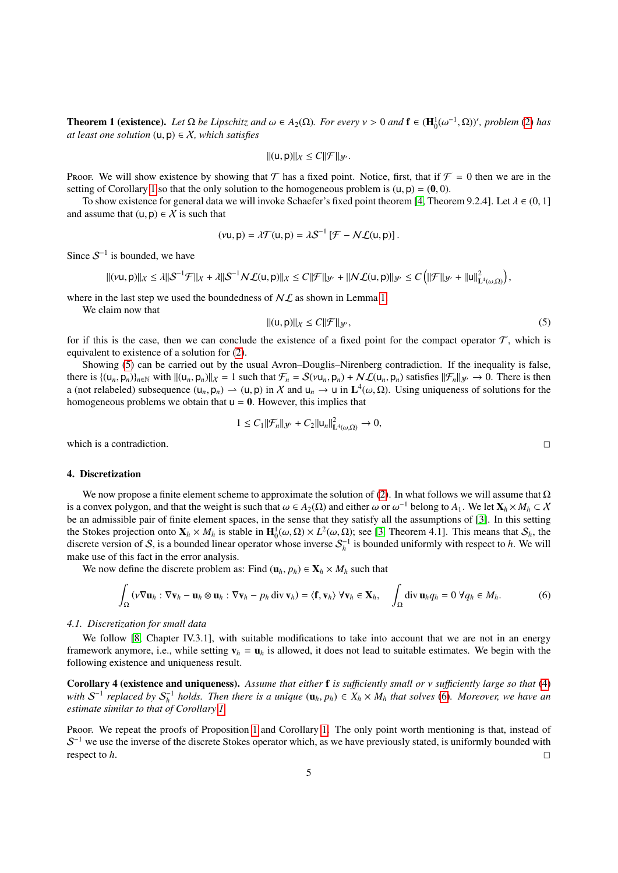**Theorem 1 (existence).** *Let*  $\Omega$  *be Lipschitz and*  $\omega \in A_2(\Omega)$ *. For every*  $\nu > 0$  *and*  $\mathbf{f} \in (\mathbf{H}_0^1(\omega^{-1}, \Omega))'$ *, problem* [\(2\)](#page-1-0) *has at least one solution* ((1, n)  $\in X$  *which satisfies at least one solution*  $(u, p) \in X$ *, which satisfies* 

$$
||(u,p)||_{X}\leq C||\mathcal{F}||_{\mathcal{Y}}.
$$

Proof. We will show existence by showing that T has a fixed point. Notice, first, that if  $\mathcal{F} = 0$  then we are in the setting of Corollary [1](#page-2-2) so that the only solution to the homogeneous problem is  $(u, p) = (0, 0)$ .

To show existence for general data we will invoke Schaefer's fixed point theorem [\[4,](#page-5-10) Theorem 9.2.4]. Let  $\lambda \in (0, 1]$ and assume that  $(u, p) \in \mathcal{X}$  is such that

$$
(\nu u, p) = \lambda \mathcal{T}(u, p) = \lambda \mathcal{S}^{-1} \left[ \mathcal{F} - N \mathcal{L}(u, p) \right].
$$

Since  $S^{-1}$  is bounded, we have

$$
\| (v\mu, p) \|_{X} \leq \lambda \| S^{-1} \mathcal{F} \|_{X} + \lambda \| S^{-1} \mathcal{N} \mathcal{L}(u, p) \|_{X} \leq C \| \mathcal{F} \|_{\mathcal{Y}'} + \| \mathcal{N} \mathcal{L}(u, p) \|_{\mathcal{Y}'} \leq C \left( \| \mathcal{F} \|_{\mathcal{Y}'} + \| u \|_{L^4(\omega, \Omega)}^2 \right),
$$

where in the last step we used the boundedness of  $N\mathcal{L}$  as shown in Lemma [1.](#page-1-1)

We claim now that

<span id="page-4-0"></span>
$$
||(u, p)||_{X} \le C||\mathcal{F}||_{\mathcal{Y}'},\tag{5}
$$

for if this is the case, then we can conclude the existence of a fixed point for the compact operator  $\mathcal{T}$ , which is equivalent to existence of a solution for [\(2\)](#page-1-0).

Showing [\(5\)](#page-4-0) can be carried out by the usual Avron–Douglis–Nirenberg contradiction. If the inequality is false, there is  $\{(u_n, p_n)\}_{n\in\mathbb{N}}$  with  $||(u_n, p_n)||_X = 1$  such that  $\mathcal{F}_n = \mathcal{S}(\nu u_n, p_n) + \mathcal{NL}(u_n, p_n)$  satisfies  $||\mathcal{F}_n||_{\mathcal{Y}'} \to 0$ . There is then a (not relabeled) subsequence  $(u_n, p_n) \to (u, p)$  in X and  $u_n \to u$  in  $\mathbf{L}^4(\omega, \Omega)$ . Using uniqueness of solutions for the homogeneous problems we obtain that  $u = 0$ . However, this implies that homogeneous problems we obtain that  $u = 0$ . However, this implies that

$$
1 \leq C_1 \|\mathcal{F}_n\|_{\mathcal{Y}'} + C_2 \|u_n\|_{\mathbf{L}^4(\omega,\Omega)}^2 \to 0,
$$

which is a contradiction.

#### 4. Discretization

We now propose a finite element scheme to approximate the solution of [\(2\)](#page-1-0). In what follows we will assume that  $\Omega$ is a convex polygon, and that the weight is such that  $\omega \in A_2(\Omega)$  and either  $\omega$  or  $\omega^{-1}$  belong to  $A_1$ . We let  $\mathbf{X}_h \times M_h \subset X$ <br>be an admissible pair of finite element spaces, in the sense that they satisfy all the be an admissible pair of finite element spaces, in the sense that they satisfy all the assumptions of [\[3\]](#page-5-11). In this setting the Stokes projection onto  $X_h \times M_h$  is stable in  $\mathbf{H}_0^1(\omega,\Omega) \times L^2(\omega,\Omega)$ ; see [\[3,](#page-5-11) Theorem 4.1]. This means that  $S_h$ , the discrete version of S is a bounded linear operator whose inverse  $S^{-1}$  is bounded uniformly wit discrete version of S, is a bounded linear operator whose inverse  $S_h^{-1}$  is bounded uniformly with respect to *h*. We will make use of this fact in the error analysis.

We now define the discrete problem as: Find  $(\mathbf{u}_h, p_h) \in \mathbf{X}_h \times M_h$  such that

<span id="page-4-1"></span>
$$
\int_{\Omega} \left( v \nabla \mathbf{u}_h : \nabla \mathbf{v}_h - \mathbf{u}_h \otimes \mathbf{u}_h : \nabla \mathbf{v}_h - p_h \operatorname{div} \mathbf{v}_h \right) = \langle \mathbf{f}, \mathbf{v}_h \rangle \ \forall \mathbf{v}_h \in \mathbf{X}_h, \quad \int_{\Omega} \operatorname{div} \mathbf{u}_h q_h = 0 \ \forall q_h \in M_h. \tag{6}
$$

#### *4.1. Discretization for small data*

We follow [\[8,](#page-5-12) Chapter IV.3.1], with suitable modifications to take into account that we are not in an energy framework anymore, i.e., while setting  $\mathbf{v}_h = \mathbf{u}_h$  is allowed, it does not lead to suitable estimates. We begin with the following existence and uniqueness result.

Corollary 4 (existence and uniqueness). *Assume that either* <sup>f</sup> *is su*ffi*ciently small or* ν *su*ffi*ciently large so that* [\(4\)](#page-2-0) *with*  $S^{-1}$  replaced by  $S_h^{-1}$  holds. Then there is a unique  $(\mathbf{u}_h, p_h) \in X_h \times M_h$  that solves [\(6\)](#page-4-1). Moreover, we have an estimate similar to that of Corollary 1 *estimate similar to that of Corollary [1.](#page-2-2)*

Proof. We repeat the proofs of Proposition [1](#page-2-1) and Corollary [1.](#page-2-2) The only point worth mentioning is that, instead of  $S^{-1}$  we use the inverse of the discrete Stokes operator which, as we have previously stated, is uniformly bounded with respect to *h*.